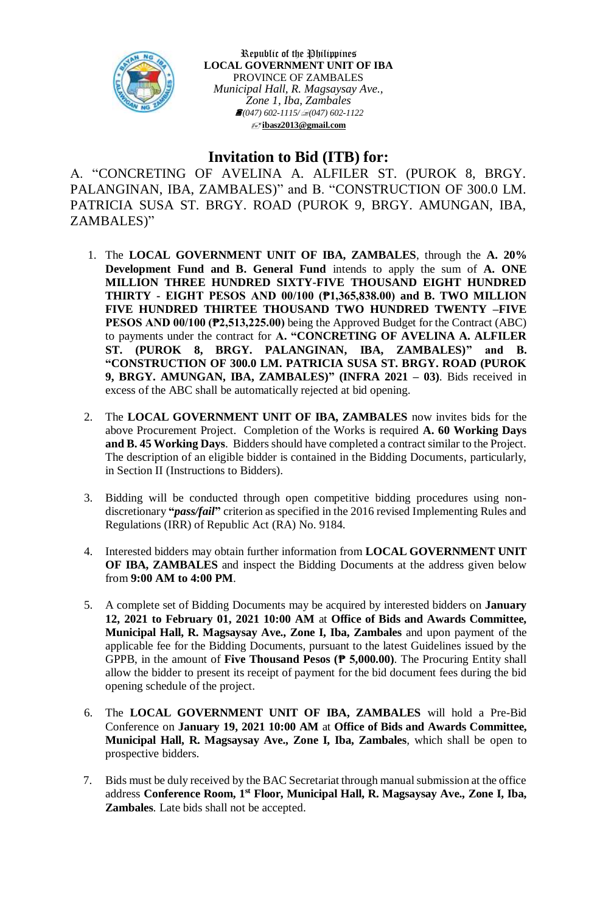

Republic of the Philippines **LOCAL GOVERNMENT UNIT OF IBA** PROVINCE OF ZAMBALES *Municipal Hall, R. Magsaysay Ave., Zone 1, Iba, Zambales (047) 602-1115/(047) 602-1122* **[ibasz2013@gmail.com](mailto:ibasz2013@gmail.com)**

## **Invitation to Bid (ITB) for:**

A. "CONCRETING OF AVELINA A. ALFILER ST. (PUROK 8, BRGY. PALANGINAN, IBA, ZAMBALES)" and B. "CONSTRUCTION OF 300.0 LM. PATRICIA SUSA ST. BRGY. ROAD (PUROK 9, BRGY. AMUNGAN, IBA, ZAMBALES)"

- 1. The **LOCAL GOVERNMENT UNIT OF IBA, ZAMBALES**, through the **A. 20% Development Fund and B. General Fund** intends to apply the sum of **A. ONE MILLION THREE HUNDRED SIXTY-FIVE THOUSAND EIGHT HUNDRED THIRTY - EIGHT PESOS AND 00/100 (₱1,365,838.00) and B. TWO MILLION FIVE HUNDRED THIRTEE THOUSAND TWO HUNDRED TWENTY –FIVE PESOS AND 00/100 (₱2,513,225.00)** being the Approved Budget for the Contract (ABC) to payments under the contract for **A. "CONCRETING OF AVELINA A. ALFILER ST. (PUROK 8, BRGY. PALANGINAN, IBA, ZAMBALES)" and B. "CONSTRUCTION OF 300.0 LM. PATRICIA SUSA ST. BRGY. ROAD (PUROK 9, BRGY. AMUNGAN, IBA, ZAMBALES)" (INFRA 2021 – 03)**. Bids received in excess of the ABC shall be automatically rejected at bid opening.
- 2. The **LOCAL GOVERNMENT UNIT OF IBA, ZAMBALES** now invites bids for the above Procurement Project. Completion of the Works is required **A. 60 Working Days and B. 45 Working Days**. Bidders should have completed a contract similar to the Project. The description of an eligible bidder is contained in the Bidding Documents, particularly, in Section II (Instructions to Bidders).
- 3. Bidding will be conducted through open competitive bidding procedures using nondiscretionary **"***pass/fail***"** criterion as specified in the 2016 revised Implementing Rules and Regulations (IRR) of Republic Act (RA) No. 9184.
- 4. Interested bidders may obtain further information from **LOCAL GOVERNMENT UNIT OF IBA, ZAMBALES** and inspect the Bidding Documents at the address given below from **9:00 AM to 4:00 PM**.
- 5. A complete set of Bidding Documents may be acquired by interested bidders on **January 12, 2021 to February 01, 2021 10:00 AM** at **Office of Bids and Awards Committee, Municipal Hall, R. Magsaysay Ave., Zone I, Iba, Zambales** and upon payment of the applicable fee for the Bidding Documents, pursuant to the latest Guidelines issued by the GPPB, in the amount of **Five Thousand Pesos (₱ 5,000.00)**. The Procuring Entity shall allow the bidder to present its receipt of payment for the bid document fees during the bid opening schedule of the project.
- 6. The **LOCAL GOVERNMENT UNIT OF IBA, ZAMBALES** will hold a Pre-Bid Conference on **January 19, 2021 10:00 AM** at **Office of Bids and Awards Committee, Municipal Hall, R. Magsaysay Ave., Zone I, Iba, Zambales***,* which shall be open to prospective bidders.
- 7. Bids must be duly received by the BAC Secretariat through manual submission at the office address **Conference Room, 1 st Floor, Municipal Hall, R. Magsaysay Ave., Zone I, Iba, Zambales***.* Late bids shall not be accepted.